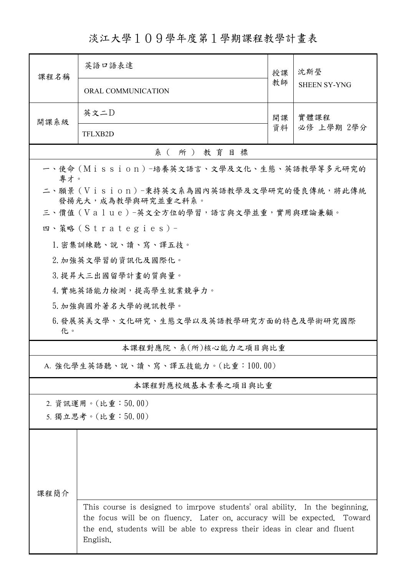淡江大學109學年度第1學期課程教學計畫表

| 課程名稱                                                            | 英語口語表達                                                                                                                                                                                                                                             | 授課       | 沈斯瑩                 |  |  |  |  |  |
|-----------------------------------------------------------------|----------------------------------------------------------------------------------------------------------------------------------------------------------------------------------------------------------------------------------------------------|----------|---------------------|--|--|--|--|--|
|                                                                 | ORAL COMMUNICATION                                                                                                                                                                                                                                 | 教師       | <b>SHEEN SY-YNG</b> |  |  |  |  |  |
| 開課系級                                                            | 英文二D                                                                                                                                                                                                                                               | 開課<br>資料 | 實體課程<br>必修 上學期 2學分  |  |  |  |  |  |
|                                                                 | TFLXB2D                                                                                                                                                                                                                                            |          |                     |  |  |  |  |  |
| 系(所)教育目標                                                        |                                                                                                                                                                                                                                                    |          |                     |  |  |  |  |  |
| 一、使命 (Mission) -培養英文語言、文學及文化、生態、英語教學等多元研究的<br>專才。               |                                                                                                                                                                                                                                                    |          |                     |  |  |  |  |  |
| 二、願景 (Vision)-秉持英文系為國內英語教學及文學研究的優良傳統,將此傳統<br>發揚光大,成為教學與研究並重之科系。 |                                                                                                                                                                                                                                                    |          |                     |  |  |  |  |  |
| 三、價值 (Value)-英文全方位的學習,語言與文學並重,實用與理論兼顧。                          |                                                                                                                                                                                                                                                    |          |                     |  |  |  |  |  |
|                                                                 | 四、策略 (Strategies) -                                                                                                                                                                                                                                |          |                     |  |  |  |  |  |
|                                                                 | 1. 密集訓練聽、說、讀、寫、譯五技。                                                                                                                                                                                                                                |          |                     |  |  |  |  |  |
|                                                                 | 2. 加強英文學習的資訊化及國際化。                                                                                                                                                                                                                                 |          |                     |  |  |  |  |  |
|                                                                 | 3. 提昇大三出國留學計畫的質與量。                                                                                                                                                                                                                                 |          |                     |  |  |  |  |  |
|                                                                 | 4. 實施英語能力檢測,提高學生就業競爭力。                                                                                                                                                                                                                             |          |                     |  |  |  |  |  |
|                                                                 | 5. 加強與國外著名大學的視訊教學。                                                                                                                                                                                                                                 |          |                     |  |  |  |  |  |
| 6.發展英美文學、文化研究、生態文學以及英語教學研究方面的特色及學術研究國際<br>化。                    |                                                                                                                                                                                                                                                    |          |                     |  |  |  |  |  |
|                                                                 | 本課程對應院、系(所)核心能力之項目與比重                                                                                                                                                                                                                              |          |                     |  |  |  |  |  |
|                                                                 | A. 強化學生英語聽、說、讀、寫、譯五技能力。(比重:100.00)                                                                                                                                                                                                                 |          |                     |  |  |  |  |  |
|                                                                 | 本課程對應校級基本素養之項目與比重                                                                                                                                                                                                                                  |          |                     |  |  |  |  |  |
|                                                                 | 2. 資訊運用。(比重:50.00)                                                                                                                                                                                                                                 |          |                     |  |  |  |  |  |
|                                                                 | 5. 獨立思考。(比重:50.00)                                                                                                                                                                                                                                 |          |                     |  |  |  |  |  |
|                                                                 |                                                                                                                                                                                                                                                    |          |                     |  |  |  |  |  |
|                                                                 |                                                                                                                                                                                                                                                    |          |                     |  |  |  |  |  |
|                                                                 |                                                                                                                                                                                                                                                    |          |                     |  |  |  |  |  |
|                                                                 |                                                                                                                                                                                                                                                    |          |                     |  |  |  |  |  |
| 课程简介                                                            |                                                                                                                                                                                                                                                    |          |                     |  |  |  |  |  |
|                                                                 | This course is designed to imrpove students' oral ability. In the beginning,<br>the focus will be on fluency. Later on, accuracy will be expected. Toward<br>the end, students will be able to express their ideas in clear and fluent<br>English. |          |                     |  |  |  |  |  |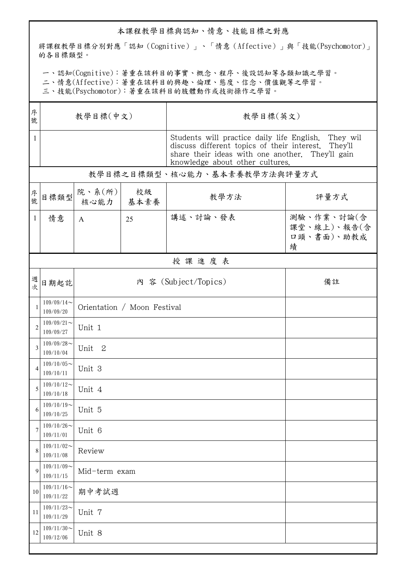## 本課程教學目標與認知、情意、技能目標之對應

將課程教學目標分別對應「認知(Cognitive)」、「情意(Affective)」與「技能(Psychomotor)」 的各目標類型。

一、認知(Cognitive):著重在該科目的事實、概念、程序、後設認知等各類知識之學習。

二、情意(Affective):著重在該科目的興趣、倫理、態度、信念、價值觀等之學習。

三、技能(Psychomotor):著重在該科目的肢體動作或技術操作之學習。

| 序<br>號         | 教學目標(中文)                     |                                     |    | 教學目標(英文)                                                                                                                                                                                          |                                              |  |  |
|----------------|------------------------------|-------------------------------------|----|---------------------------------------------------------------------------------------------------------------------------------------------------------------------------------------------------|----------------------------------------------|--|--|
| $\mathbf{1}$   |                              |                                     |    | Students will practice daily life English. They wil<br>discuss different topics of their interest. They'll<br>share their ideas with one another. They'll gain<br>knowledge about other cultures. |                                              |  |  |
|                | 教學目標之目標類型、核心能力、基本素養教學方法與評量方式 |                                     |    |                                                                                                                                                                                                   |                                              |  |  |
| 序號             | 目標類型                         | 院、系 $(\hbox{\tt m})$<br>核心能力   基本素養 | 校級 | 教學方法                                                                                                                                                                                              | 評量方式                                         |  |  |
| $\mathbf{1}$   | 情意                           | A                                   | 25 | 講述、討論、發表                                                                                                                                                                                          | 測驗、作業、討論(含<br>課堂、線上)、報告(含<br>口頭、書面)、助教成<br>績 |  |  |
|                |                              |                                     |    | 授課進度表                                                                                                                                                                                             |                                              |  |  |
| 週次             | 日期起訖                         | 內 容 (Subject/Topics)                |    | 備註                                                                                                                                                                                                |                                              |  |  |
| $\mathbf{1}$   | $109/09/14$ ~<br>109/09/20   | Orientation / Moon Festival         |    |                                                                                                                                                                                                   |                                              |  |  |
| $\overline{c}$ | $109/09/21$ ~<br>109/09/27   | Unit 1                              |    |                                                                                                                                                                                                   |                                              |  |  |
| 3              | $109/09/28$ ~<br>109/10/04   | Unit <sub>2</sub>                   |    |                                                                                                                                                                                                   |                                              |  |  |
| $\overline{4}$ | $109/10/05$ ~<br>109/10/11   | Unit 3                              |    |                                                                                                                                                                                                   |                                              |  |  |
| 5              | $109/10/12$ ~<br>109/10/18   | Unit 4                              |    |                                                                                                                                                                                                   |                                              |  |  |
| 6              | $109/10/19$ ~<br>109/10/25   | Unit 5                              |    |                                                                                                                                                                                                   |                                              |  |  |
| 7              | $109/10/26$ ~<br>109/11/01   | Unit 6                              |    |                                                                                                                                                                                                   |                                              |  |  |
| 8              | $109/11/02$ ~<br>109/11/08   | Review                              |    |                                                                                                                                                                                                   |                                              |  |  |
| 9              | $109/11/09$ ~<br>109/11/15   | Mid-term exam                       |    |                                                                                                                                                                                                   |                                              |  |  |
| 10             | $109/11/16$ ~<br>109/11/22   | 期中考試週                               |    |                                                                                                                                                                                                   |                                              |  |  |
| 11             | $109/11/23$ ~<br>109/11/29   | Unit 7                              |    |                                                                                                                                                                                                   |                                              |  |  |
| 12             | $109/11/30$ ~<br>109/12/06   | Unit 8                              |    |                                                                                                                                                                                                   |                                              |  |  |
|                |                              |                                     |    |                                                                                                                                                                                                   |                                              |  |  |